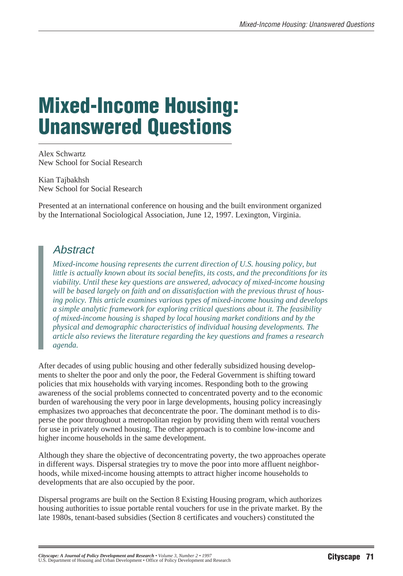# **Mixed-Income Housing: Unanswered Questions**

Alex Schwartz New School for Social Research

Kian Tajbakhsh New School for Social Research

Presented at an international conference on housing and the built environment organized by the International Sociological Association, June 12, 1997. Lexington, Virginia.

## **Abstract**

*Mixed-income housing represents the current direction of U.S. housing policy, but little is actually known about its social benefits, its costs, and the preconditions for its viability. Until these key questions are answered, advocacy of mixed-income housing will be based largely on faith and on dissatisfaction with the previous thrust of housing policy. This article examines various types of mixed-income housing and develops a simple analytic framework for exploring critical questions about it. The feasibility of mixed-income housing is shaped by local housing market conditions and by the physical and demographic characteristics of individual housing developments. The article also reviews the literature regarding the key questions and frames a research agenda.*

After decades of using public housing and other federally subsidized housing developments to shelter the poor and only the poor, the Federal Government is shifting toward policies that mix households with varying incomes. Responding both to the growing awareness of the social problems connected to concentrated poverty and to the economic burden of warehousing the very poor in large developments, housing policy increasingly emphasizes two approaches that deconcentrate the poor. The dominant method is to disperse the poor throughout a metropolitan region by providing them with rental vouchers for use in privately owned housing. The other approach is to combine low-income and higher income households in the same development.

Although they share the objective of deconcentrating poverty, the two approaches operate in different ways. Dispersal strategies try to move the poor into more affluent neighborhoods, while mixed-income housing attempts to attract higher income households to developments that are also occupied by the poor.

Dispersal programs are built on the Section 8 Existing Housing program, which authorizes housing authorities to issue portable rental vouchers for use in the private market. By the late 1980s, tenant-based subsidies (Section 8 certificates and vouchers) constituted the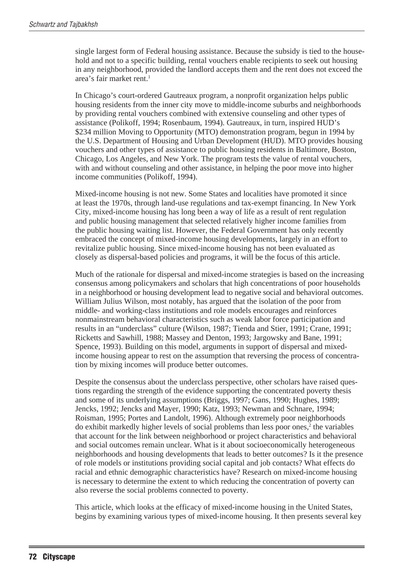single largest form of Federal housing assistance. Because the subsidy is tied to the household and not to a specific building, rental vouchers enable recipients to seek out housing in any neighborhood, provided the landlord accepts them and the rent does not exceed the area's fair market rent.<sup>1</sup>

In Chicago's court-ordered Gautreaux program, a nonprofit organization helps public housing residents from the inner city move to middle-income suburbs and neighborhoods by providing rental vouchers combined with extensive counseling and other types of assistance (Polikoff, 1994; Rosenbaum, 1994). Gautreaux, in turn, inspired HUD's \$234 million Moving to Opportunity (MTO) demonstration program, begun in 1994 by the U.S. Department of Housing and Urban Development (HUD). MTO provides housing vouchers and other types of assistance to public housing residents in Baltimore, Boston, Chicago, Los Angeles, and New York. The program tests the value of rental vouchers, with and without counseling and other assistance, in helping the poor move into higher income communities (Polikoff, 1994).

Mixed-income housing is not new. Some States and localities have promoted it since at least the 1970s, through land-use regulations and tax-exempt financing. In New York City, mixed-income housing has long been a way of life as a result of rent regulation and public housing management that selected relatively higher income families from the public housing waiting list. However, the Federal Government has only recently embraced the concept of mixed-income housing developments, largely in an effort to revitalize public housing. Since mixed-income housing has not been evaluated as closely as dispersal-based policies and programs, it will be the focus of this article.

Much of the rationale for dispersal and mixed-income strategies is based on the increasing consensus among policymakers and scholars that high concentrations of poor households in a neighborhood or housing development lead to negative social and behavioral outcomes. William Julius Wilson, most notably, has argued that the isolation of the poor from middle- and working-class institutions and role models encourages and reinforces nonmainstream behavioral characteristics such as weak labor force participation and results in an "underclass" culture (Wilson, 1987; Tienda and Stier, 1991; Crane, 1991; Ricketts and Sawhill, 1988; Massey and Denton, 1993; Jargowsky and Bane, 1991; Spence, 1993). Building on this model, arguments in support of dispersal and mixedincome housing appear to rest on the assumption that reversing the process of concentration by mixing incomes will produce better outcomes.

Despite the consensus about the underclass perspective, other scholars have raised questions regarding the strength of the evidence supporting the concentrated poverty thesis and some of its underlying assumptions (Briggs, 1997; Gans, 1990; Hughes, 1989; Jencks, 1992; Jencks and Mayer, 1990; Katz, 1993; Newman and Schnare, 1994; Roisman, 1995; Portes and Landolt, 1996). Although extremely poor neighborhoods do exhibit markedly higher levels of social problems than less poor ones,<sup>2</sup> the variables that account for the link between neighborhood or project characteristics and behavioral and social outcomes remain unclear. What is it about socioeconomically heterogeneous neighborhoods and housing developments that leads to better outcomes? Is it the presence of role models or institutions providing social capital and job contacts? What effects do racial and ethnic demographic characteristics have? Research on mixed-income housing is necessary to determine the extent to which reducing the concentration of poverty can also reverse the social problems connected to poverty.

This article, which looks at the efficacy of mixed-income housing in the United States, begins by examining various types of mixed-income housing. It then presents several key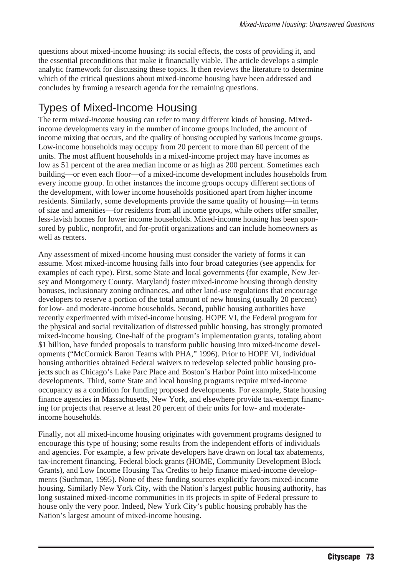questions about mixed-income housing: its social effects, the costs of providing it, and the essential preconditions that make it financially viable. The article develops a simple analytic framework for discussing these topics. It then reviews the literature to determine which of the critical questions about mixed-income housing have been addressed and concludes by framing a research agenda for the remaining questions.

## Types of Mixed-Income Housing

The term *mixed-income housing* can refer to many different kinds of housing. Mixedincome developments vary in the number of income groups included, the amount of income mixing that occurs, and the quality of housing occupied by various income groups. Low-income households may occupy from 20 percent to more than 60 percent of the units. The most affluent households in a mixed-income project may have incomes as low as 51 percent of the area median income or as high as 200 percent. Sometimes each building—or even each floor—of a mixed-income development includes households from every income group. In other instances the income groups occupy different sections of the development, with lower income households positioned apart from higher income residents. Similarly, some developments provide the same quality of housing—in terms of size and amenities—for residents from all income groups, while others offer smaller, less-lavish homes for lower income households. Mixed-income housing has been sponsored by public, nonprofit, and for-profit organizations and can include homeowners as well as renters.

Any assessment of mixed-income housing must consider the variety of forms it can assume. Most mixed-income housing falls into four broad categories (see appendix for examples of each type). First, some State and local governments (for example, New Jersey and Montgomery County, Maryland) foster mixed-income housing through density bonuses, inclusionary zoning ordinances, and other land-use regulations that encourage developers to reserve a portion of the total amount of new housing (usually 20 percent) for low- and moderate-income households. Second, public housing authorities have recently experimented with mixed-income housing. HOPE VI, the Federal program for the physical and social revitalization of distressed public housing, has strongly promoted mixed-income housing. One-half of the program's implementation grants, totaling about \$1 billion, have funded proposals to transform public housing into mixed-income developments ("McCormick Baron Teams with PHA," 1996). Prior to HOPE VI, individual housing authorities obtained Federal waivers to redevelop selected public housing projects such as Chicago's Lake Parc Place and Boston's Harbor Point into mixed-income developments. Third, some State and local housing programs require mixed-income occupancy as a condition for funding proposed developments. For example, State housing finance agencies in Massachusetts, New York, and elsewhere provide tax-exempt financing for projects that reserve at least 20 percent of their units for low- and moderateincome households.

Finally, not all mixed-income housing originates with government programs designed to encourage this type of housing; some results from the independent efforts of individuals and agencies. For example, a few private developers have drawn on local tax abatements, tax-increment financing, Federal block grants (HOME, Community Development Block Grants), and Low Income Housing Tax Credits to help finance mixed-income developments (Suchman, 1995). None of these funding sources explicitly favors mixed-income housing. Similarly New York City, with the Nation's largest public housing authority, has long sustained mixed-income communities in its projects in spite of Federal pressure to house only the very poor. Indeed, New York City's public housing probably has the Nation's largest amount of mixed-income housing.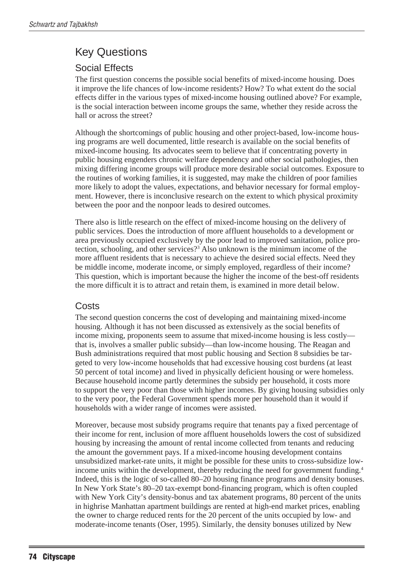# Key Questions

#### Social Effects

The first question concerns the possible social benefits of mixed-income housing. Does it improve the life chances of low-income residents? How? To what extent do the social effects differ in the various types of mixed-income housing outlined above? For example, is the social interaction between income groups the same, whether they reside across the hall or across the street?

Although the shortcomings of public housing and other project-based, low-income housing programs are well documented, little research is available on the social benefits of mixed-income housing. Its advocates seem to believe that if concentrating poverty in public housing engenders chronic welfare dependency and other social pathologies, then mixing differing income groups will produce more desirable social outcomes. Exposure to the routines of working families, it is suggested, may make the children of poor families more likely to adopt the values, expectations, and behavior necessary for formal employment. However, there is inconclusive research on the extent to which physical proximity between the poor and the nonpoor leads to desired outcomes.

There also is little research on the effect of mixed-income housing on the delivery of public services. Does the introduction of more affluent households to a development or area previously occupied exclusively by the poor lead to improved sanitation, police protection, schooling, and other services?<sup>3</sup> Also unknown is the minimum income of the more affluent residents that is necessary to achieve the desired social effects. Need they be middle income, moderate income, or simply employed, regardless of their income? This question, which is important because the higher the income of the best-off residents the more difficult it is to attract and retain them, is examined in more detail below.

## Costs

The second question concerns the cost of developing and maintaining mixed-income housing. Although it has not been discussed as extensively as the social benefits of income mixing, proponents seem to assume that mixed-income housing is less costly that is, involves a smaller public subsidy—than low-income housing. The Reagan and Bush administrations required that most public housing and Section 8 subsidies be targeted to very low-income households that had excessive housing cost burdens (at least 50 percent of total income) and lived in physically deficient housing or were homeless. Because household income partly determines the subsidy per household, it costs more to support the very poor than those with higher incomes. By giving housing subsidies only to the very poor, the Federal Government spends more per household than it would if households with a wider range of incomes were assisted.

Moreover, because most subsidy programs require that tenants pay a fixed percentage of their income for rent, inclusion of more affluent households lowers the cost of subsidized housing by increasing the amount of rental income collected from tenants and reducing the amount the government pays. If a mixed-income housing development contains unsubsidized market-rate units, it might be possible for these units to cross-subsidize lowincome units within the development, thereby reducing the need for government funding.<sup>4</sup> Indeed, this is the logic of so-called 80–20 housing finance programs and density bonuses. In New York State's 80–20 tax-exempt bond-financing program, which is often coupled with New York City's density-bonus and tax abatement programs, 80 percent of the units in highrise Manhattan apartment buildings are rented at high-end market prices, enabling the owner to charge reduced rents for the 20 percent of the units occupied by low- and moderate-income tenants (Oser, 1995). Similarly, the density bonuses utilized by New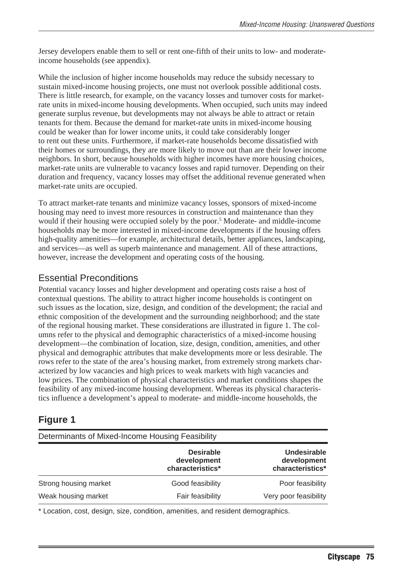Jersey developers enable them to sell or rent one-fifth of their units to low- and moderateincome households (see appendix).

While the inclusion of higher income households may reduce the subsidy necessary to sustain mixed-income housing projects, one must not overlook possible additional costs. There is little research, for example, on the vacancy losses and turnover costs for marketrate units in mixed-income housing developments. When occupied, such units may indeed generate surplus revenue, but developments may not always be able to attract or retain tenants for them. Because the demand for market-rate units in mixed-income housing could be weaker than for lower income units, it could take considerably longer to rent out these units. Furthermore, if market-rate households become dissatisfied with their homes or surroundings, they are more likely to move out than are their lower income neighbors. In short, because households with higher incomes have more housing choices, market-rate units are vulnerable to vacancy losses and rapid turnover. Depending on their duration and frequency, vacancy losses may offset the additional revenue generated when market-rate units are occupied.

To attract market-rate tenants and minimize vacancy losses, sponsors of mixed-income housing may need to invest more resources in construction and maintenance than they would if their housing were occupied solely by the poor.<sup>5</sup> Moderate- and middle-income households may be more interested in mixed-income developments if the housing offers high-quality amenities—for example, architectural details, better appliances, landscaping, and services—as well as superb maintenance and management. All of these attractions, however, increase the development and operating costs of the housing.

#### Essential Preconditions

Potential vacancy losses and higher development and operating costs raise a host of contextual questions. The ability to attract higher income households is contingent on such issues as the location, size, design, and condition of the development; the racial and ethnic composition of the development and the surrounding neighborhood; and the state of the regional housing market. These considerations are illustrated in figure 1. The columns refer to the physical and demographic characteristics of a mixed-income housing development—the combination of location, size, design, condition, amenities, and other physical and demographic attributes that make developments more or less desirable. The rows refer to the state of the area's housing market, from extremely strong markets characterized by low vacancies and high prices to weak markets with high vacancies and low prices. The combination of physical characteristics and market conditions shapes the feasibility of any mixed-income housing development. Whereas its physical characteristics influence a development's appeal to moderate- and middle-income households, the

## **Figure 1**

| Determinants of Mixed-Income Housing Feasibility |                                                     |                                                       |
|--------------------------------------------------|-----------------------------------------------------|-------------------------------------------------------|
|                                                  | <b>Desirable</b><br>development<br>characteristics* | <b>Undesirable</b><br>development<br>characteristics* |
| Strong housing market                            | Good feasibility                                    | Poor feasibility                                      |
| Weak housing market                              | Fair feasibility                                    | Very poor feasibility                                 |

\* Location, cost, design, size, condition, amenities, and resident demographics.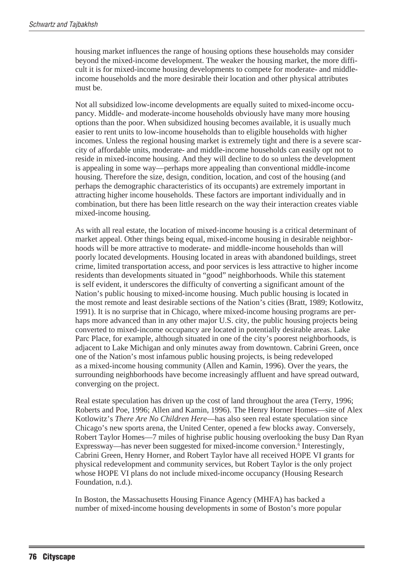housing market influences the range of housing options these households may consider beyond the mixed-income development. The weaker the housing market, the more difficult it is for mixed-income housing developments to compete for moderate- and middleincome households and the more desirable their location and other physical attributes must be.

Not all subsidized low-income developments are equally suited to mixed-income occupancy. Middle- and moderate-income households obviously have many more housing options than the poor. When subsidized housing becomes available, it is usually much easier to rent units to low-income households than to eligible households with higher incomes. Unless the regional housing market is extremely tight and there is a severe scarcity of affordable units, moderate- and middle-income households can easily opt not to reside in mixed-income housing. And they will decline to do so unless the development is appealing in some way—perhaps more appealing than conventional middle-income housing. Therefore the size, design, condition, location, and cost of the housing (and perhaps the demographic characteristics of its occupants) are extremely important in attracting higher income households. These factors are important individually and in combination, but there has been little research on the way their interaction creates viable mixed-income housing.

As with all real estate, the location of mixed-income housing is a critical determinant of market appeal. Other things being equal, mixed-income housing in desirable neighborhoods will be more attractive to moderate- and middle-income households than will poorly located developments. Housing located in areas with abandoned buildings, street crime, limited transportation access, and poor services is less attractive to higher income residents than developments situated in "good" neighborhoods. While this statement is self evident, it underscores the difficulty of converting a significant amount of the Nation's public housing to mixed-income housing. Much public housing is located in the most remote and least desirable sections of the Nation's cities (Bratt, 1989; Kotlowitz, 1991). It is no surprise that in Chicago, where mixed-income housing programs are perhaps more advanced than in any other major U.S. city, the public housing projects being converted to mixed-income occupancy are located in potentially desirable areas. Lake Parc Place, for example, although situated in one of the city's poorest neighborhoods, is adjacent to Lake Michigan and only minutes away from downtown. Cabrini Green, once one of the Nation's most infamous public housing projects, is being redeveloped as a mixed-income housing community (Allen and Kamin, 1996). Over the years, the surrounding neighborhoods have become increasingly affluent and have spread outward, converging on the project.

Real estate speculation has driven up the cost of land throughout the area (Terry, 1996; Roberts and Poe, 1996; Allen and Kamin, 1996). The Henry Horner Homes—site of Alex Kotlowitz's *There Are No Children Here*—has also seen real estate speculation since Chicago's new sports arena, the United Center, opened a few blocks away. Conversely, Robert Taylor Homes—7 miles of highrise public housing overlooking the busy Dan Ryan Expressway—has never been suggested for mixed-income conversion.<sup>6</sup> Interestingly, Cabrini Green, Henry Horner, and Robert Taylor have all received HOPE VI grants for physical redevelopment and community services, but Robert Taylor is the only project whose HOPE VI plans do not include mixed-income occupancy (Housing Research Foundation, n.d.).

In Boston, the Massachusetts Housing Finance Agency (MHFA) has backed a number of mixed-income housing developments in some of Boston's more popular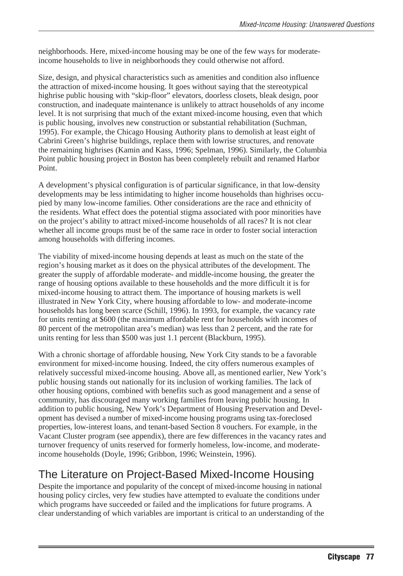neighborhoods. Here, mixed-income housing may be one of the few ways for moderateincome households to live in neighborhoods they could otherwise not afford.

Size, design, and physical characteristics such as amenities and condition also influence the attraction of mixed-income housing. It goes without saying that the stereotypical highrise public housing with "skip-floor" elevators, doorless closets, bleak design, poor construction, and inadequate maintenance is unlikely to attract households of any income level. It is not surprising that much of the extant mixed-income housing, even that which is public housing, involves new construction or substantial rehabilitation (Suchman, 1995). For example, the Chicago Housing Authority plans to demolish at least eight of Cabrini Green's highrise buildings, replace them with lowrise structures, and renovate the remaining highrises (Kamin and Kass, 1996; Spelman, 1996). Similarly, the Columbia Point public housing project in Boston has been completely rebuilt and renamed Harbor Point.

A development's physical configuration is of particular significance, in that low-density developments may be less intimidating to higher income households than highrises occupied by many low-income families. Other considerations are the race and ethnicity of the residents. What effect does the potential stigma associated with poor minorities have on the project's ability to attract mixed-income households of all races? It is not clear whether all income groups must be of the same race in order to foster social interaction among households with differing incomes.

The viability of mixed-income housing depends at least as much on the state of the region's housing market as it does on the physical attributes of the development. The greater the supply of affordable moderate- and middle-income housing, the greater the range of housing options available to these households and the more difficult it is for mixed-income housing to attract them. The importance of housing markets is well illustrated in New York City, where housing affordable to low- and moderate-income households has long been scarce (Schill, 1996). In 1993, for example, the vacancy rate for units renting at \$600 (the maximum affordable rent for households with incomes of 80 percent of the metropolitan area's median) was less than 2 percent, and the rate for units renting for less than \$500 was just 1.1 percent (Blackburn, 1995).

With a chronic shortage of affordable housing, New York City stands to be a favorable environment for mixed-income housing. Indeed, the city offers numerous examples of relatively successful mixed-income housing. Above all, as mentioned earlier, New York's public housing stands out nationally for its inclusion of working families. The lack of other housing options, combined with benefits such as good management and a sense of community, has discouraged many working families from leaving public housing. In addition to public housing, New York's Department of Housing Preservation and Development has devised a number of mixed-income housing programs using tax-foreclosed properties, low-interest loans, and tenant-based Section 8 vouchers. For example, in the Vacant Cluster program (see appendix), there are few differences in the vacancy rates and turnover frequency of units reserved for formerly homeless, low-income, and moderateincome households (Doyle, 1996; Gribbon, 1996; Weinstein, 1996).

## The Literature on Project-Based Mixed-Income Housing

Despite the importance and popularity of the concept of mixed-income housing in national housing policy circles, very few studies have attempted to evaluate the conditions under which programs have succeeded or failed and the implications for future programs. A clear understanding of which variables are important is critical to an understanding of the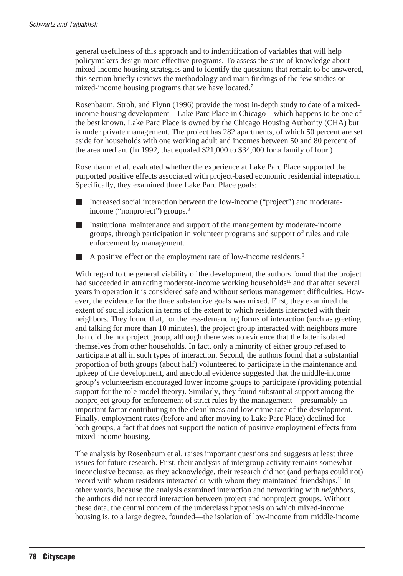general usefulness of this approach and to indentification of variables that will help policymakers design more effective programs. To assess the state of knowledge about mixed-income housing strategies and to identify the questions that remain to be answered, this section briefly reviews the methodology and main findings of the few studies on mixed-income housing programs that we have located.<sup>7</sup>

Rosenbaum, Stroh, and Flynn (1996) provide the most in-depth study to date of a mixedincome housing development—Lake Parc Place in Chicago—which happens to be one of the best known. Lake Parc Place is owned by the Chicago Housing Authority (CHA) but is under private management. The project has 282 apartments, of which 50 percent are set aside for households with one working adult and incomes between 50 and 80 percent of the area median. (In 1992, that equaled \$21,000 to \$34,000 for a family of four.)

Rosenbaum et al. evaluated whether the experience at Lake Parc Place supported the purported positive effects associated with project-based economic residential integration. Specifically, they examined three Lake Parc Place goals:

- Increased social interaction between the low-income ("project") and moderateincome ("nonproject") groups.8
- Institutional maintenance and support of the management by moderate-income groups, through participation in volunteer programs and support of rules and rule enforcement by management.
- A positive effect on the employment rate of low-income residents.<sup>9</sup>

With regard to the general viability of the development, the authors found that the project had succeeded in attracting moderate-income working households<sup>10</sup> and that after several years in operation it is considered safe and without serious management difficulties. However, the evidence for the three substantive goals was mixed. First, they examined the extent of social isolation in terms of the extent to which residents interacted with their neighbors. They found that, for the less-demanding forms of interaction (such as greeting and talking for more than 10 minutes), the project group interacted with neighbors more than did the nonproject group, although there was no evidence that the latter isolated themselves from other households. In fact, only a minority of either group refused to participate at all in such types of interaction. Second, the authors found that a substantial proportion of both groups (about half) volunteered to participate in the maintenance and upkeep of the development, and anecdotal evidence suggested that the middle-income group's volunteerism encouraged lower income groups to participate (providing potential support for the role-model theory). Similarly, they found substantial support among the nonproject group for enforcement of strict rules by the management—presumably an important factor contributing to the cleanliness and low crime rate of the development. Finally, employment rates (before and after moving to Lake Parc Place) declined for both groups, a fact that does not support the notion of positive employment effects from mixed-income housing.

The analysis by Rosenbaum et al. raises important questions and suggests at least three issues for future research. First, their analysis of intergroup activity remains somewhat inconclusive because, as they acknowledge, their research did not (and perhaps could not) record with whom residents interacted or with whom they maintained friendships.<sup>11</sup> In other words, because the analysis examined interaction and networking with *neighbors,* the authors did not record interaction between project and nonproject groups. Without these data, the central concern of the underclass hypothesis on which mixed-income housing is, to a large degree, founded—the isolation of low-income from middle-income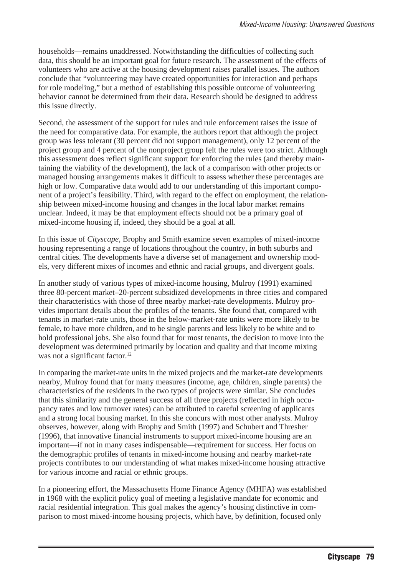households—remains unaddressed. Notwithstanding the difficulties of collecting such data, this should be an important goal for future research. The assessment of the effects of volunteers who are active at the housing development raises parallel issues. The authors conclude that "volunteering may have created opportunities for interaction and perhaps for role modeling," but a method of establishing this possible outcome of volunteering behavior cannot be determined from their data. Research should be designed to address this issue directly.

Second, the assessment of the support for rules and rule enforcement raises the issue of the need for comparative data. For example, the authors report that although the project group was less tolerant (30 percent did not support management), only 12 percent of the project group and 4 percent of the nonproject group felt the rules were too strict. Although this assessment does reflect significant support for enforcing the rules (and thereby maintaining the viability of the development), the lack of a comparison with other projects or managed housing arrangements makes it difficult to assess whether these percentages are high or low. Comparative data would add to our understanding of this important component of a project's feasibility. Third, with regard to the effect on employment, the relationship between mixed-income housing and changes in the local labor market remains unclear. Indeed, it may be that employment effects should not be a primary goal of mixed-income housing if, indeed, they should be a goal at all.

In this issue of *Cityscape,* Brophy and Smith examine seven examples of mixed-income housing representing a range of locations throughout the country, in both suburbs and central cities. The developments have a diverse set of management and ownership models, very different mixes of incomes and ethnic and racial groups, and divergent goals.

In another study of various types of mixed-income housing, Mulroy (1991) examined three 80-percent market–20-percent subsidized developments in three cities and compared their characteristics with those of three nearby market-rate developments. Mulroy provides important details about the profiles of the tenants. She found that, compared with tenants in market-rate units, those in the below-market-rate units were more likely to be female, to have more children, and to be single parents and less likely to be white and to hold professional jobs. She also found that for most tenants, the decision to move into the development was determined primarily by location and quality and that income mixing was not a significant factor.<sup>12</sup>

In comparing the market-rate units in the mixed projects and the market-rate developments nearby, Mulroy found that for many measures (income, age, children, single parents) the characteristics of the residents in the two types of projects were similar. She concludes that this similarity and the general success of all three projects (reflected in high occupancy rates and low turnover rates) can be attributed to careful screening of applicants and a strong local housing market. In this she concurs with most other analysts. Mulroy observes, however, along with Brophy and Smith (1997) and Schubert and Thresher (1996), that innovative financial instruments to support mixed-income housing are an important—if not in many cases indispensable—requirement for success. Her focus on the demographic profiles of tenants in mixed-income housing and nearby market-rate projects contributes to our understanding of what makes mixed-income housing attractive for various income and racial or ethnic groups.

In a pioneering effort, the Massachusetts Home Finance Agency (MHFA) was established in 1968 with the explicit policy goal of meeting a legislative mandate for economic and racial residential integration. This goal makes the agency's housing distinctive in comparison to most mixed-income housing projects, which have, by definition, focused only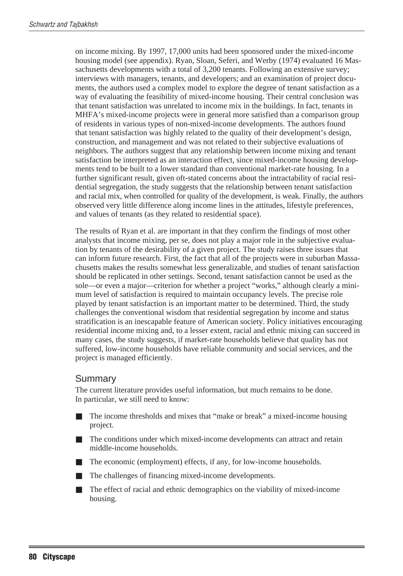on income mixing. By 1997, 17,000 units had been sponsored under the mixed-income housing model (see appendix). Ryan, Sloan, Seferi, and Werby (1974) evaluated 16 Massachusetts developments with a total of 3,200 tenants. Following an extensive survey; interviews with managers, tenants, and developers; and an examination of project documents, the authors used a complex model to explore the degree of tenant satisfaction as a way of evaluating the feasibility of mixed-income housing. Their central conclusion was that tenant satisfaction was unrelated to income mix in the buildings. In fact, tenants in MHFA's mixed-income projects were in general more satisfied than a comparison group of residents in various types of non-mixed-income developments. The authors found that tenant satisfaction was highly related to the quality of their development's design, construction, and management and was not related to their subjective evaluations of neighbors. The authors suggest that any relationship between income mixing and tenant satisfaction be interpreted as an interaction effect, since mixed-income housing developments tend to be built to a lower standard than conventional market-rate housing. In a further significant result, given oft-stated concerns about the intractability of racial residential segregation, the study suggests that the relationship between tenant satisfaction and racial mix, when controlled for quality of the development, is weak. Finally, the authors observed very little difference along income lines in the attitudes, lifestyle preferences, and values of tenants (as they related to residential space).

The results of Ryan et al. are important in that they confirm the findings of most other analysts that income mixing, per se, does not play a major role in the subjective evaluation by tenants of the desirability of a given project. The study raises three issues that can inform future research. First, the fact that all of the projects were in suburban Massachusetts makes the results somewhat less generalizable, and studies of tenant satisfaction should be replicated in other settings. Second, tenant satisfaction cannot be used as the sole—or even a major—criterion for whether a project "works," although clearly a minimum level of satisfaction is required to maintain occupancy levels. The precise role played by tenant satisfaction is an important matter to be determined. Third, the study challenges the conventional wisdom that residential segregation by income and status stratification is an inescapable feature of American society. Policy initiatives encouraging residential income mixing and, to a lesser extent, racial and ethnic mixing can succeed in many cases, the study suggests, if market-rate households believe that quality has not suffered, low-income households have reliable community and social services, and the project is managed efficiently.

#### Summary

The current literature provides useful information, but much remains to be done. In particular, we still need to know:

- The income thresholds and mixes that "make or break" a mixed-income housing project.
- The conditions under which mixed-income developments can attract and retain middle-income households.
- The economic (employment) effects, if any, for low-income households.
- The challenges of financing mixed-income developments.
- The effect of racial and ethnic demographics on the viability of mixed-income housing.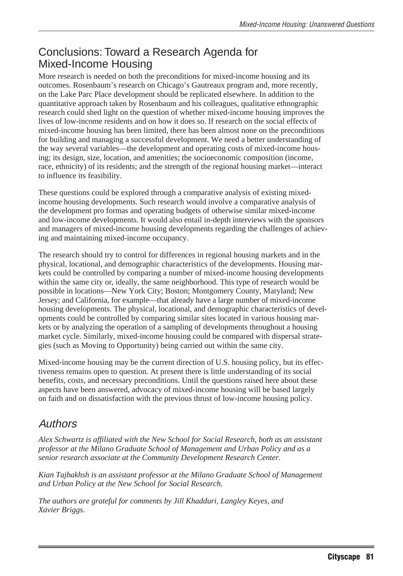## Conclusions: Toward a Research Agenda for Mixed-Income Housing

More research is needed on both the preconditions for mixed-income housing and its outcomes. Rosenbaum's research on Chicago's Gautreaux program and, more recently, on the Lake Parc Place development should be replicated elsewhere. In addition to the quantitative approach taken by Rosenbaum and his colleagues, qualitative ethnographic research could shed light on the question of whether mixed-income housing improves the lives of low-income residents and on how it does so. If research on the social effects of mixed-income housing has been limited, there has been almost none on the preconditions for building and managing a successful development. We need a better understanding of the way several variables—the development and operating costs of mixed-income housing; its design, size, location, and amenities; the socioeconomic composition (income, race, ethnicity) of its residents; and the strength of the regional housing market—interact to influence its feasibility.

These questions could be explored through a comparative analysis of existing mixedincome housing developments. Such research would involve a comparative analysis of the development pro formas and operating budgets of otherwise similar mixed-income and low-income developments. It would also entail in-depth interviews with the sponsors and managers of mixed-income housing developments regarding the challenges of achieving and maintaining mixed-income occupancy.

The research should try to control for differences in regional housing markets and in the physical, locational, and demographic characteristics of the developments. Housing markets could be controlled by comparing a number of mixed-income housing developments within the same city or, ideally, the same neighborhood. This type of research would be possible in locations—New York City; Boston; Montgomery County, Maryland; New Jersey; and California, for example—that already have a large number of mixed-income housing developments. The physical, locational, and demographic characteristics of developments could be controlled by comparing similar sites located in various housing markets or by analyzing the operation of a sampling of developments throughout a housing market cycle. Similarly, mixed-income housing could be compared with dispersal strategies (such as Moving to Opportunity) being carried out within the same city.

Mixed-income housing may be the current direction of U.S. housing policy, but its effectiveness remains open to question. At present there is little understanding of its social benefits, costs, and necessary preconditions. Until the questions raised here about these aspects have been answered, advocacy of mixed-income housing will be based largely on faith and on dissatisfaction with the previous thrust of low-income housing policy.

# Authors

*Alex Schwartz is affiliated with the New School for Social Research, both as an assistant professor at the Milano Graduate School of Management and Urban Policy and as a senior research associate at the Community Development Research Center.*

*Kian Tajbakhsh is an assistant professor at the Milano Graduate School of Management and Urban Policy at the New School for Social Research.*

*The authors are grateful for comments by Jill Khadduri, Langley Keyes, and Xavier Briggs.*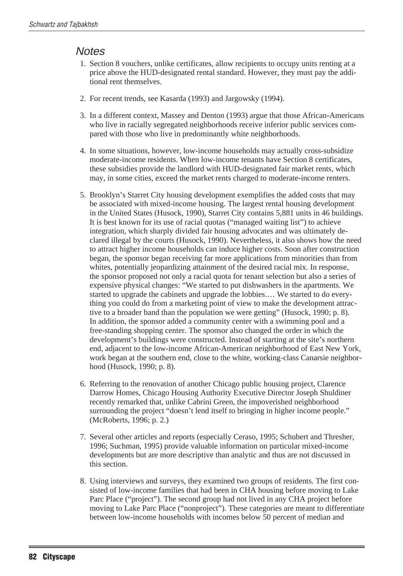## Notes

- 1. Section 8 vouchers, unlike certificates, allow recipients to occupy units renting at a price above the HUD-designated rental standard. However, they must pay the additional rent themselves.
- 2. For recent trends, see Kasarda (1993) and Jargowsky (1994).
- 3. In a different context, Massey and Denton (1993) argue that those African-Americans who live in racially segregated neighborhoods receive inferior public services compared with those who live in predominantly white neighborhoods.
- 4. In some situations, however, low-income households may actually cross-subsidize moderate-income residents. When low-income tenants have Section 8 certificates, these subsidies provide the landlord with HUD-designated fair market rents, which may, in some cities, exceed the market rents charged to moderate-income renters.
- 5. Brooklyn's Starret City housing development exemplifies the added costs that may be associated with mixed-income housing. The largest rental housing development in the United States (Husock, 1990), Starret City contains 5,881 units in 46 buildings. It is best known for its use of racial quotas ("managed waiting list") to achieve integration, which sharply divided fair housing advocates and was ultimately declared illegal by the courts (Husock, 1990). Nevertheless, it also shows how the need to attract higher income households can induce higher costs. Soon after construction began, the sponsor began receiving far more applications from minorities than from whites, potentially jeopardizing attainment of the desired racial mix. In response, the sponsor proposed not only a racial quota for tenant selection but also a series of expensive physical changes: "We started to put dishwashers in the apartments. We started to upgrade the cabinets and upgrade the lobbies.… We started to do everything you could do from a marketing point of view to make the development attractive to a broader band than the population we were getting" (Husock, 1990; p. 8). In addition, the sponsor added a community center with a swimming pool and a free-standing shopping center. The sponsor also changed the order in which the development's buildings were constructed. Instead of starting at the site's northern end, adjacent to the low-income African-American neighborhood of East New York, work began at the southern end, close to the white, working-class Canarsie neighborhood (Husock, 1990; p. 8).
- 6. Referring to the renovation of another Chicago public housing project, Clarence Darrow Homes, Chicago Housing Authority Executive Director Joseph Shuldiner recently remarked that, unlike Cabrini Green, the impoverished neighborhood surrounding the project "doesn't lend itself to bringing in higher income people." (McRoberts, 1996; p. 2.)
- 7. Several other articles and reports (especially Ceraso, 1995; Schubert and Thresher, 1996; Suchman, 1995) provide valuable information on particular mixed-income developments but are more descriptive than analytic and thus are not discussed in this section.
- 8. Using interviews and surveys, they examined two groups of residents. The first consisted of low-income families that had been in CHA housing before moving to Lake Parc Place ("project"). The second group had not lived in any CHA project before moving to Lake Parc Place ("nonproject"). These categories are meant to differentiate between low-income households with incomes below 50 percent of median and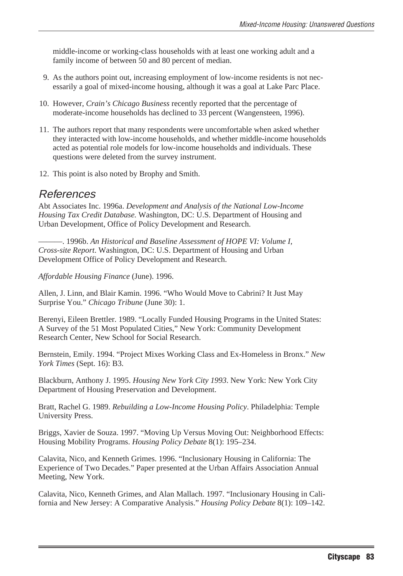middle-income or working-class households with at least one working adult and a family income of between 50 and 80 percent of median.

- 9. As the authors point out, increasing employment of low-income residents is not necessarily a goal of mixed-income housing, although it was a goal at Lake Parc Place.
- 10. However, *Crain's Chicago Business* recently reported that the percentage of moderate-income households has declined to 33 percent (Wangensteen, 1996).
- 11. The authors report that many respondents were uncomfortable when asked whether they interacted with low-income households, and whether middle-income households acted as potential role models for low-income households and individuals. These questions were deleted from the survey instrument.
- 12. This point is also noted by Brophy and Smith.

#### **References**

Abt Associates Inc. 1996a. *Development and Analysis of the National Low-Income Housing Tax Credit Database.* Washington, DC: U.S. Department of Housing and Urban Development, Office of Policy Development and Research.

———. 1996b. *An Historical and Baseline Assessment of HOPE VI: Volume I, Cross-site Report*. Washington, DC: U.S. Department of Housing and Urban Development Office of Policy Development and Research.

*Affordable Housing Finance* (June). 1996.

Allen, J. Linn, and Blair Kamin. 1996. "Who Would Move to Cabrini? It Just May Surprise You." *Chicago Tribune* (June 30): 1.

Berenyi, Eileen Brettler. 1989. "Locally Funded Housing Programs in the United States: A Survey of the 51 Most Populated Cities," New York: Community Development Research Center, New School for Social Research.

Bernstein, Emily. 1994. "Project Mixes Working Class and Ex-Homeless in Bronx." *New York Times* (Sept. 16): B3.

Blackburn, Anthony J. 1995. *Housing New York City 1993*. New York: New York City Department of Housing Preservation and Development.

Bratt, Rachel G. 1989. *Rebuilding a Low-Income Housing Policy*. Philadelphia: Temple University Press.

Briggs, Xavier de Souza. 1997. "Moving Up Versus Moving Out: Neighborhood Effects: Housing Mobility Programs. *Housing Policy Debate* 8(1): 195–234.

Calavita, Nico, and Kenneth Grimes. 1996. "Inclusionary Housing in California: The Experience of Two Decades." Paper presented at the Urban Affairs Association Annual Meeting, New York.

Calavita, Nico, Kenneth Grimes, and Alan Mallach. 1997. "Inclusionary Housing in California and New Jersey: A Comparative Analysis." *Housing Policy Debate* 8(1): 109–142.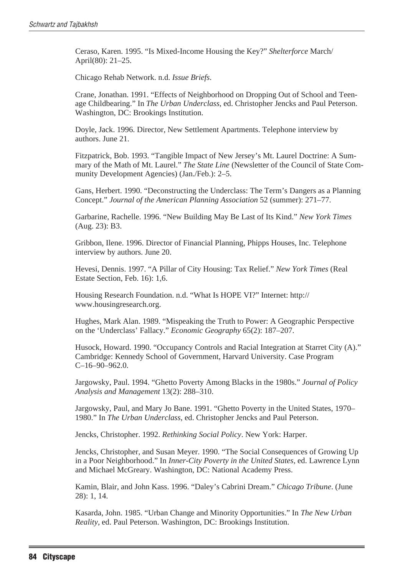Ceraso, Karen. 1995. "Is Mixed-Income Housing the Key?" *Shelterforce* March/ April(80): 21–25.

Chicago Rehab Network. n.d. *Issue Briefs*.

Crane, Jonathan. 1991. "Effects of Neighborhood on Dropping Out of School and Teenage Childbearing." In *The Urban Underclass*, ed. Christopher Jencks and Paul Peterson. Washington, DC: Brookings Institution.

Doyle, Jack. 1996. Director, New Settlement Apartments. Telephone interview by authors. June 21.

Fitzpatrick, Bob. 1993. "Tangible Impact of New Jersey's Mt. Laurel Doctrine: A Summary of the Math of Mt. Laurel." *The State Line* (Newsletter of the Council of State Community Development Agencies) (Jan./Feb.): 2–5.

Gans, Herbert. 1990. "Deconstructing the Underclass: The Term's Dangers as a Planning Concept." *Journal of the American Planning Association* 52 (summer): 271–77.

Garbarine, Rachelle. 1996. "New Building May Be Last of Its Kind." *New York Times* (Aug. 23): B3.

Gribbon, Ilene. 1996. Director of Financial Planning, Phipps Houses, Inc. Telephone interview by authors. June 20.

Hevesi, Dennis. 1997. "A Pillar of City Housing: Tax Relief." *New York Times* (Real Estate Section, Feb. 16): 1,6.

Housing Research Foundation. n.d. "What Is HOPE VI?" Internet: http:// www.housingresearch.org.

Hughes, Mark Alan. 1989. "Mispeaking the Truth to Power: A Geographic Perspective on the 'Underclass' Fallacy." *Economic Geography* 65(2): 187–207.

Husock, Howard. 1990. "Occupancy Controls and Racial Integration at Starret City (A)." Cambridge: Kennedy School of Government, Harvard University. Case Program  $C-16-90-962.0.$ 

Jargowsky, Paul. 1994. "Ghetto Poverty Among Blacks in the 1980s." *Journal of Policy Analysis and Management* 13(2): 288–310.

Jargowsky, Paul, and Mary Jo Bane. 1991. "Ghetto Poverty in the United States, 1970– 1980." In *The Urban Underclass*, ed. Christopher Jencks and Paul Peterson.

Jencks, Christopher. 1992. *Rethinking Social Policy*. New York: Harper.

Jencks, Christopher, and Susan Meyer. 1990. "The Social Consequences of Growing Up in a Poor Neighborhood." In *Inner-City Poverty in the United States,* ed. Lawrence Lynn and Michael McGreary. Washington, DC: National Academy Press.

Kamin, Blair, and John Kass. 1996. "Daley's Cabrini Dream." *Chicago Tribune*. (June 28): 1, 14.

Kasarda, John. 1985. "Urban Change and Minority Opportunities." In *The New Urban Reality*, ed. Paul Peterson. Washington, DC: Brookings Institution.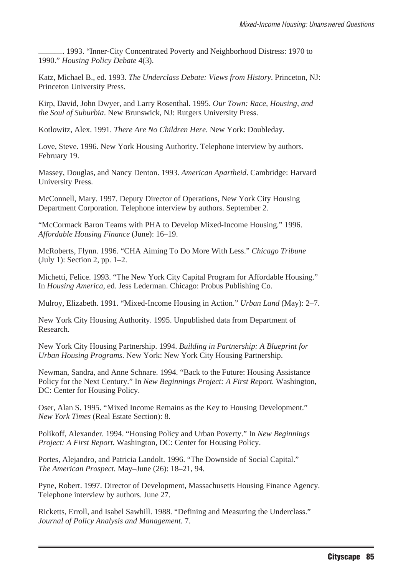———. 1993. "Inner-City Concentrated Poverty and Neighborhood Distress: 1970 to 1990." *Housing Policy Debate* 4(3).

Katz, Michael B., ed. 1993. *The Underclass Debate: Views from History*. Princeton, NJ: Princeton University Press.

Kirp, David, John Dwyer, and Larry Rosenthal. 1995. *Our Town: Race, Housing, and the Soul of Suburbia*. New Brunswick, NJ: Rutgers University Press.

Kotlowitz, Alex. 1991. *There Are No Children Here*. New York: Doubleday.

Love, Steve. 1996. New York Housing Authority. Telephone interview by authors. February 19.

Massey, Douglas, and Nancy Denton. 1993. *American Apartheid*. Cambridge: Harvard University Press.

McConnell, Mary. 1997. Deputy Director of Operations, New York City Housing Department Corporation. Telephone interview by authors. September 2.

"McCormack Baron Teams with PHA to Develop Mixed-Income Housing." 1996. *Affordable Housing Finance* (June): 16–19.

McRoberts, Flynn. 1996. "CHA Aiming To Do More With Less." *Chicago Tribune* (July 1): Section 2, pp. 1–2.

Michetti, Felice. 1993. "The New York City Capital Program for Affordable Housing." In *Housing America,* ed. Jess Lederman. Chicago: Probus Publishing Co.

Mulroy, Elizabeth. 1991. "Mixed-Income Housing in Action." *Urban Land* (May): 2–7.

New York City Housing Authority. 1995. Unpublished data from Department of Research.

New York City Housing Partnership. 1994. *Building in Partnership: A Blueprint for Urban Housing Programs*. New York: New York City Housing Partnership.

Newman, Sandra, and Anne Schnare. 1994. "Back to the Future: Housing Assistance Policy for the Next Century." In *New Beginnings Project: A First Report.* Washington, DC: Center for Housing Policy.

Oser, Alan S. 1995. "Mixed Income Remains as the Key to Housing Development." *New York Times* (Real Estate Section): 8.

Polikoff, Alexander. 1994. "Housing Policy and Urban Poverty." In *New Beginnings Project: A First Report*. Washington, DC: Center for Housing Policy.

Portes, Alejandro, and Patricia Landolt. 1996. "The Downside of Social Capital." *The American Prospect.* May–June (26): 18–21, 94.

Pyne, Robert. 1997. Director of Development, Massachusetts Housing Finance Agency. Telephone interview by authors. June 27.

Ricketts, Erroll, and Isabel Sawhill. 1988. "Defining and Measuring the Underclass." *Journal of Policy Analysis and Management.* 7.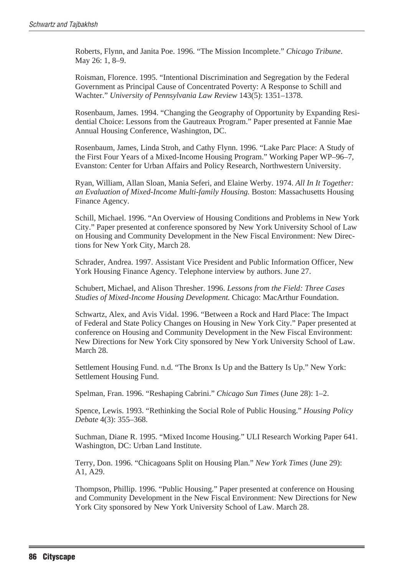Roberts, Flynn, and Janita Poe. 1996. "The Mission Incomplete." *Chicago Tribune*. May 26: 1, 8–9.

Roisman, Florence. 1995. "Intentional Discrimination and Segregation by the Federal Government as Principal Cause of Concentrated Poverty: A Response to Schill and Wachter." *University of Pennsylvania Law Review* 143(5): 1351–1378.

Rosenbaum, James. 1994. "Changing the Geography of Opportunity by Expanding Residential Choice: Lessons from the Gautreaux Program." Paper presented at Fannie Mae Annual Housing Conference, Washington, DC.

Rosenbaum, James, Linda Stroh, and Cathy Flynn. 1996. "Lake Parc Place: A Study of the First Four Years of a Mixed-Income Housing Program." Working Paper WP–96–7, Evanston: Center for Urban Affairs and Policy Research, Northwestern University.

Ryan, William, Allan Sloan, Mania Seferi, and Elaine Werby. 1974. *All In It Together: an Evaluation of Mixed-Income Multi-family Housing.* Boston: Massachusetts Housing Finance Agency.

Schill, Michael. 1996. "An Overview of Housing Conditions and Problems in New York City." Paper presented at conference sponsored by New York University School of Law on Housing and Community Development in the New Fiscal Environment: New Directions for New York City, March 28.

Schrader, Andrea. 1997. Assistant Vice President and Public Information Officer, New York Housing Finance Agency. Telephone interview by authors. June 27.

Schubert, Michael, and Alison Thresher. 1996. *Lessons from the Field: Three Cases Studies of Mixed-Income Housing Development.* Chicago: MacArthur Foundation.

Schwartz, Alex, and Avis Vidal. 1996. "Between a Rock and Hard Place: The Impact of Federal and State Policy Changes on Housing in New York City." Paper presented at conference on Housing and Community Development in the New Fiscal Environment: New Directions for New York City sponsored by New York University School of Law. March 28.

Settlement Housing Fund. n.d. "The Bronx Is Up and the Battery Is Up." New York: Settlement Housing Fund.

Spelman, Fran. 1996. "Reshaping Cabrini." *Chicago Sun Times* (June 28): 1–2.

Spence, Lewis. 1993. "Rethinking the Social Role of Public Housing." *Housing Policy Debate* 4(3): 355–368.

Suchman, Diane R. 1995. "Mixed Income Housing." ULI Research Working Paper 641. Washington, DC: Urban Land Institute.

Terry, Don. 1996. "Chicagoans Split on Housing Plan." *New York Times* (June 29): A1, A29.

Thompson, Phillip. 1996. "Public Housing." Paper presented at conference on Housing and Community Development in the New Fiscal Environment: New Directions for New York City sponsored by New York University School of Law. March 28.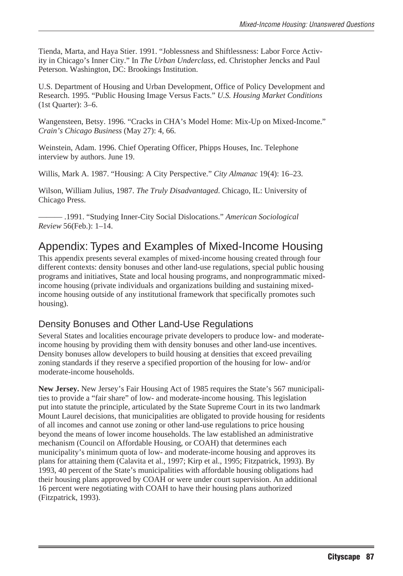Tienda, Marta, and Haya Stier. 1991. "Joblessness and Shiftlessness: Labor Force Activity in Chicago's Inner City." In *The Urban Underclass*, ed. Christopher Jencks and Paul Peterson. Washington, DC: Brookings Institution.

U.S. Department of Housing and Urban Development, Office of Policy Development and Research. 1995. "Public Housing Image Versus Facts." *U.S. Housing Market Conditions* (1st Quarter): 3–6.

Wangensteen, Betsy. 1996. "Cracks in CHA's Model Home: Mix-Up on Mixed-Income." *Crain's Chicago Business* (May 27): 4, 66.

Weinstein, Adam. 1996. Chief Operating Officer, Phipps Houses, Inc. Telephone interview by authors. June 19.

Willis, Mark A. 1987. "Housing: A City Perspective." *City Almanac* 19(4): 16–23.

Wilson, William Julius, 1987. *The Truly Disadvantaged*. Chicago, IL: University of Chicago Press.

——— .1991. "Studying Inner-City Social Dislocations." *American Sociological Review* 56(Feb.): 1–14.

# Appendix: Types and Examples of Mixed-Income Housing

This appendix presents several examples of mixed-income housing created through four different contexts: density bonuses and other land-use regulations, special public housing programs and initiatives, State and local housing programs, and nonprogrammatic mixedincome housing (private individuals and organizations building and sustaining mixedincome housing outside of any institutional framework that specifically promotes such housing).

## Density Bonuses and Other Land-Use Regulations

Several States and localities encourage private developers to produce low- and moderateincome housing by providing them with density bonuses and other land-use incentives. Density bonuses allow developers to build housing at densities that exceed prevailing zoning standards if they reserve a specified proportion of the housing for low- and/or moderate-income households.

**New Jersey.** New Jersey's Fair Housing Act of 1985 requires the State's 567 municipalities to provide a "fair share" of low- and moderate-income housing. This legislation put into statute the principle, articulated by the State Supreme Court in its two landmark Mount Laurel decisions, that municipalities are obligated to provide housing for residents of all incomes and cannot use zoning or other land-use regulations to price housing beyond the means of lower income households. The law established an administrative mechanism (Council on Affordable Housing, or COAH) that determines each municipality's minimum quota of low- and moderate-income housing and approves its plans for attaining them (Calavita et al., 1997; Kirp et al., 1995; Fitzpatrick, 1993). By 1993, 40 percent of the State's municipalities with affordable housing obligations had their housing plans approved by COAH or were under court supervision. An additional 16 percent were negotiating with COAH to have their housing plans authorized (Fitzpatrick, 1993).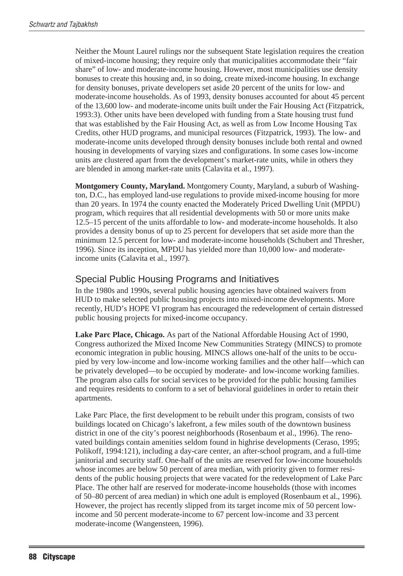Neither the Mount Laurel rulings nor the subsequent State legislation requires the creation of mixed-income housing; they require only that municipalities accommodate their "fair share" of low- and moderate-income housing. However, most municipalities use density bonuses to create this housing and, in so doing, create mixed-income housing. In exchange for density bonuses, private developers set aside 20 percent of the units for low- and moderate-income households. As of 1993, density bonuses accounted for about 45 percent of the 13,600 low- and moderate-income units built under the Fair Housing Act (Fitzpatrick, 1993:3). Other units have been developed with funding from a State housing trust fund that was established by the Fair Housing Act, as well as from Low Income Housing Tax Credits, other HUD programs, and municipal resources (Fitzpatrick, 1993). The low- and moderate-income units developed through density bonuses include both rental and owned housing in developments of varying sizes and configurations. In some cases low-income units are clustered apart from the development's market-rate units, while in others they are blended in among market-rate units (Calavita et al., 1997).

**Montgomery County, Maryland.** Montgomery County, Maryland, a suburb of Washington, D.C., has employed land-use regulations to provide mixed-income housing for more than 20 years. In 1974 the county enacted the Moderately Priced Dwelling Unit (MPDU) program, which requires that all residential developments with 50 or more units make 12.5–15 percent of the units affordable to low- and moderate-income households. It also provides a density bonus of up to 25 percent for developers that set aside more than the minimum 12.5 percent for low- and moderate-income households (Schubert and Thresher, 1996). Since its inception, MPDU has yielded more than 10,000 low- and moderateincome units (Calavita et al., 1997).

## Special Public Housing Programs and Initiatives

In the 1980s and 1990s, several public housing agencies have obtained waivers from HUD to make selected public housing projects into mixed-income developments. More recently, HUD's HOPE VI program has encouraged the redevelopment of certain distressed public housing projects for mixed-income occupancy.

**Lake Parc Place, Chicago.** As part of the National Affordable Housing Act of 1990, Congress authorized the Mixed Income New Communities Strategy (MINCS) to promote economic integration in public housing. MINCS allows one-half of the units to be occupied by very low-income and low-income working families and the other half—which can be privately developed—to be occupied by moderate- and low-income working families. The program also calls for social services to be provided for the public housing families and requires residents to conform to a set of behavioral guidelines in order to retain their apartments.

Lake Parc Place, the first development to be rebuilt under this program, consists of two buildings located on Chicago's lakefront, a few miles south of the downtown business district in one of the city's poorest neighborhoods (Rosenbaum et al., 1996). The renovated buildings contain amenities seldom found in highrise developments (Ceraso, 1995; Polikoff, 1994:121), including a day-care center, an after-school program, and a full-time janitorial and security staff. One-half of the units are reserved for low-income households whose incomes are below 50 percent of area median, with priority given to former residents of the public housing projects that were vacated for the redevelopment of Lake Parc Place. The other half are reserved for moderate-income households (those with incomes of 50–80 percent of area median) in which one adult is employed (Rosenbaum et al., 1996). However, the project has recently slipped from its target income mix of 50 percent lowincome and 50 percent moderate-income to 67 percent low-income and 33 percent moderate-income (Wangensteen, 1996).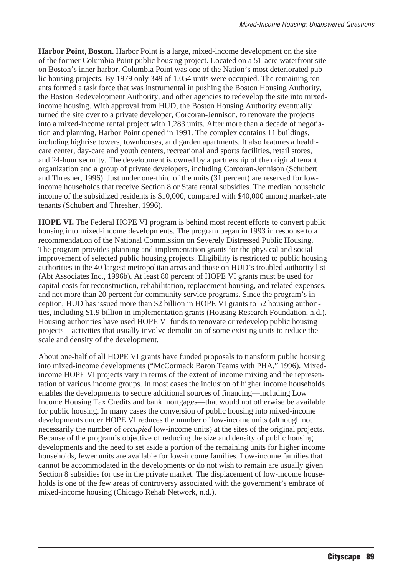**Harbor Point, Boston.** Harbor Point is a large, mixed-income development on the site of the former Columbia Point public housing project. Located on a 51-acre waterfront site on Boston's inner harbor, Columbia Point was one of the Nation's most deteriorated public housing projects. By 1979 only 349 of 1,054 units were occupied. The remaining tenants formed a task force that was instrumental in pushing the Boston Housing Authority, the Boston Redevelopment Authority, and other agencies to redevelop the site into mixedincome housing. With approval from HUD, the Boston Housing Authority eventually turned the site over to a private developer, Corcoran-Jennison, to renovate the projects into a mixed-income rental project with 1,283 units. After more than a decade of negotiation and planning, Harbor Point opened in 1991. The complex contains 11 buildings, including highrise towers, townhouses, and garden apartments. It also features a healthcare center, day-care and youth centers, recreational and sports facilities, retail stores, and 24-hour security. The development is owned by a partnership of the original tenant organization and a group of private developers, including Corcoran-Jennison (Schubert and Thresher, 1996). Just under one-third of the units (31 percent) are reserved for lowincome households that receive Section 8 or State rental subsidies. The median household income of the subsidized residents is \$10,000, compared with \$40,000 among market-rate tenants (Schubert and Thresher, 1996).

**HOPE VI.** The Federal HOPE VI program is behind most recent efforts to convert public housing into mixed-income developments. The program began in 1993 in response to a recommendation of the National Commission on Severely Distressed Public Housing. The program provides planning and implementation grants for the physical and social improvement of selected public housing projects. Eligibility is restricted to public housing authorities in the 40 largest metropolitan areas and those on HUD's troubled authority list (Abt Associates Inc., 1996b). At least 80 percent of HOPE VI grants must be used for capital costs for reconstruction, rehabilitation, replacement housing, and related expenses, and not more than 20 percent for community service programs. Since the program's inception, HUD has issued more than \$2 billion in HOPE VI grants to 52 housing authorities, including \$1.9 billion in implementation grants (Housing Research Foundation, n.d.). Housing authorities have used HOPE VI funds to renovate or redevelop public housing projects—activities that usually involve demolition of some existing units to reduce the scale and density of the development.

About one-half of all HOPE VI grants have funded proposals to transform public housing into mixed-income developments ("McCormack Baron Teams with PHA," 1996). Mixedincome HOPE VI projects vary in terms of the extent of income mixing and the representation of various income groups. In most cases the inclusion of higher income households enables the developments to secure additional sources of financing—including Low Income Housing Tax Credits and bank mortgages—that would not otherwise be available for public housing. In many cases the conversion of public housing into mixed-income developments under HOPE VI reduces the number of low-income units (although not necessarily the number of *occupied* low-income units) at the sites of the original projects. Because of the program's objective of reducing the size and density of public housing developments and the need to set aside a portion of the remaining units for higher income households, fewer units are available for low-income families. Low-income families that cannot be accommodated in the developments or do not wish to remain are usually given Section 8 subsidies for use in the private market. The displacement of low-income households is one of the few areas of controversy associated with the government's embrace of mixed-income housing (Chicago Rehab Network, n.d.).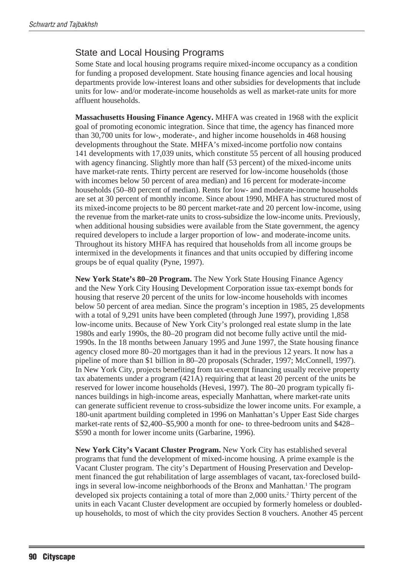## State and Local Housing Programs

Some State and local housing programs require mixed-income occupancy as a condition for funding a proposed development. State housing finance agencies and local housing departments provide low-interest loans and other subsidies for developments that include units for low- and/or moderate-income households as well as market-rate units for more affluent households.

**Massachusetts Housing Finance Agency.** MHFA was created in 1968 with the explicit goal of promoting economic integration. Since that time, the agency has financed more than 30,700 units for low-, moderate-, and higher income households in 468 housing developments throughout the State. MHFA's mixed-income portfolio now contains 141 developments with 17,039 units, which constitute 55 percent of all housing produced with agency financing. Slightly more than half (53 percent) of the mixed-income units have market-rate rents. Thirty percent are reserved for low-income households (those with incomes below 50 percent of area median) and 16 percent for moderate-income households (50–80 percent of median). Rents for low- and moderate-income households are set at 30 percent of monthly income. Since about 1990, MHFA has structured most of its mixed-income projects to be 80 percent market-rate and 20 percent low-income, using the revenue from the market-rate units to cross-subsidize the low-income units. Previously, when additional housing subsidies were available from the State government, the agency required developers to include a larger proportion of low- and moderate-income units. Throughout its history MHFA has required that households from all income groups be intermixed in the developments it finances and that units occupied by differing income groups be of equal quality (Pyne, 1997).

**New York State's 80–20 Program.** The New York State Housing Finance Agency and the New York City Housing Development Corporation issue tax-exempt bonds for housing that reserve 20 percent of the units for low-income households with incomes below 50 percent of area median. Since the program's inception in 1985, 25 developments with a total of 9,291 units have been completed (through June 1997), providing 1,858 low-income units. Because of New York City's prolonged real estate slump in the late 1980s and early 1990s, the 80–20 program did not become fully active until the mid-1990s. In the 18 months between January 1995 and June 1997, the State housing finance agency closed more 80–20 mortgages than it had in the previous 12 years. It now has a pipeline of more than \$1 billion in 80–20 proposals (Schrader, 1997; McConnell, 1997). In New York City, projects benefiting from tax-exempt financing usually receive property tax abatements under a program (421A) requiring that at least 20 percent of the units be reserved for lower income households (Hevesi, 1997). The 80–20 program typically finances buildings in high-income areas, especially Manhattan, where market-rate units can generate sufficient revenue to cross-subsidize the lower income units. For example, a 180-unit apartment building completed in 1996 on Manhattan's Upper East Side charges market-rate rents of \$2,400–\$5,900 a month for one- to three-bedroom units and \$428– \$590 a month for lower income units (Garbarine, 1996).

**New York City's Vacant Cluster Program.** New York City has established several programs that fund the development of mixed-income housing. A prime example is the Vacant Cluster program. The city's Department of Housing Preservation and Development financed the gut rehabilitation of large assemblages of vacant, tax-foreclosed buildings in several low-income neighborhoods of the Bronx and Manhattan.<sup>1</sup> The program developed six projects containing a total of more than 2,000 units.<sup>2</sup> Thirty percent of the units in each Vacant Cluster development are occupied by formerly homeless or doubledup households, to most of which the city provides Section 8 vouchers. Another 45 percent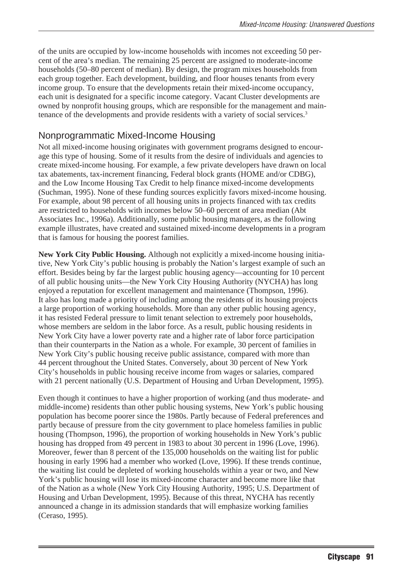of the units are occupied by low-income households with incomes not exceeding 50 percent of the area's median. The remaining 25 percent are assigned to moderate-income households (50–80 percent of median). By design, the program mixes households from each group together. Each development, building, and floor houses tenants from every income group. To ensure that the developments retain their mixed-income occupancy, each unit is designated for a specific income category. Vacant Cluster developments are owned by nonprofit housing groups, which are responsible for the management and maintenance of the developments and provide residents with a variety of social services.3

#### Nonprogrammatic Mixed-Income Housing

Not all mixed-income housing originates with government programs designed to encourage this type of housing. Some of it results from the desire of individuals and agencies to create mixed-income housing. For example, a few private developers have drawn on local tax abatements, tax-increment financing, Federal block grants (HOME and/or CDBG), and the Low Income Housing Tax Credit to help finance mixed-income developments (Suchman, 1995). None of these funding sources explicitly favors mixed-income housing. For example, about 98 percent of all housing units in projects financed with tax credits are restricted to households with incomes below 50–60 percent of area median (Abt Associates Inc., 1996a). Additionally, some public housing managers, as the following example illustrates, have created and sustained mixed-income developments in a program that is famous for housing the poorest families.

**New York City Public Housing.** Although not explicitly a mixed-income housing initiative, New York City's public housing is probably the Nation's largest example of such an effort. Besides being by far the largest public housing agency—accounting for 10 percent of all public housing units—the New York City Housing Authority (NYCHA) has long enjoyed a reputation for excellent management and maintenance (Thompson, 1996). It also has long made a priority of including among the residents of its housing projects a large proportion of working households. More than any other public housing agency, it has resisted Federal pressure to limit tenant selection to extremely poor households, whose members are seldom in the labor force. As a result, public housing residents in New York City have a lower poverty rate and a higher rate of labor force participation than their counterparts in the Nation as a whole. For example, 30 percent of families in New York City's public housing receive public assistance, compared with more than 44 percent throughout the United States. Conversely, about 30 percent of New York City's households in public housing receive income from wages or salaries, compared with 21 percent nationally (U.S. Department of Housing and Urban Development, 1995).

Even though it continues to have a higher proportion of working (and thus moderate- and middle-income) residents than other public housing systems, New York's public housing population has become poorer since the 1980s. Partly because of Federal preferences and partly because of pressure from the city government to place homeless families in public housing (Thompson, 1996), the proportion of working households in New York's public housing has dropped from 49 percent in 1983 to about 30 percent in 1996 (Love, 1996). Moreover, fewer than 8 percent of the 135,000 households on the waiting list for public housing in early 1996 had a member who worked (Love, 1996). If these trends continue, the waiting list could be depleted of working households within a year or two, and New York's public housing will lose its mixed-income character and become more like that of the Nation as a whole (New York City Housing Authority, 1995; U.S. Department of Housing and Urban Development, 1995). Because of this threat, NYCHA has recently announced a change in its admission standards that will emphasize working families (Ceraso, 1995).